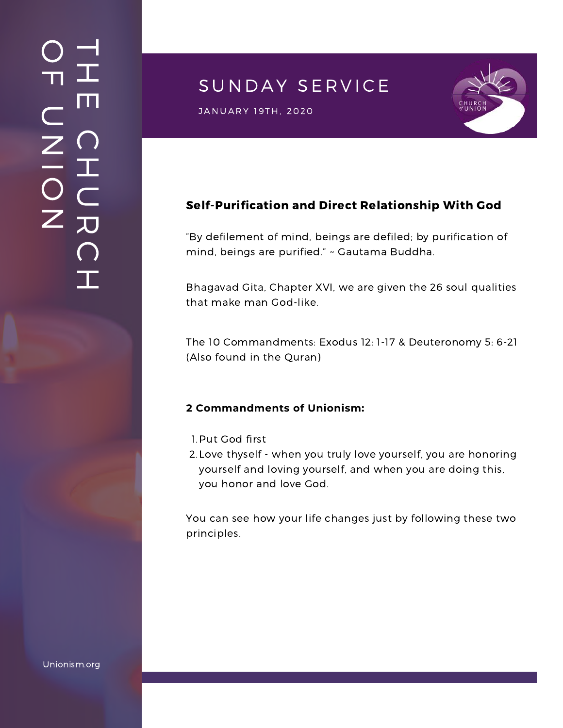## $\overline{\phantom{a}}$ H m.  $\bigcap$ H  $\subset$ 刀  $\bigcap$  $\mathbf{I}$  .  $\bigcirc$  $\blacksquare$  $\subset$  $\mathsf{Z}^+$ <u>In the Second Contract of the Second Contract of the International Second Contract of the International Second Contract of the International Second Contract of the International Second Contract of the International Second</u>  $\bigcirc$  $\mathsf{Z}^+$

# SUNDAY SERVICE



JANUARY 19TH, 2020<br>J

## Self-Purification and Direct Relationship With God

"By defilement of mind, beings are defiled; by purification of mind, beings are purified." ~ Gautama Buddha.

Bhagavad Gita, Chapter XVI, we are given the 26 soul qualities that make man God-like.

The 10 Commandments: Exodus 12: 1-17 & Deuteronomy 5: 6-21 (Also found in the Quran)

#### **2 Commandments of Unionism:**

- 1. Put God first
- 2. Love thyself when you truly love yourself, you are honoring yourself and loving yourself, and when you are doing this, you honor and love God.

You can see how your life changes just by following these two principles.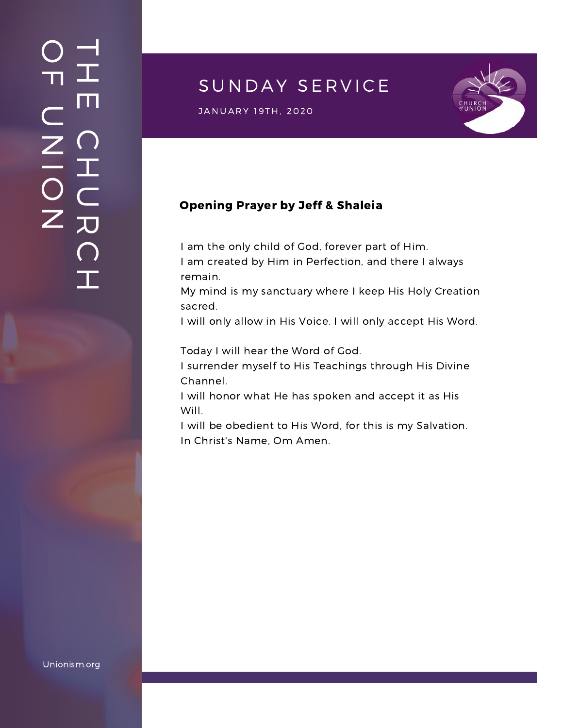## $\overline{\phantom{a}}$ H m.  $\bigcap$ H  $\subset$ 刀  $\bigcap$  $\mathbf{I}$  .  $\bigcirc$  $\blacksquare$  $\subset$  $\mathsf{Z}^+$ <u>In the Second Contract of the Second Contract of the International Second Contract of the International Second Contract of the International Second Contract of the International Second Contract of the International Second</u>  $\bigcirc$  $\mathsf{Z}^+$

## SUNDAY SERVICE





#### Opening Prayer by Jeff & Shaleia

I am the only child of God, forever part of Him.

I am created by Him in Perfection, and there I always remain.

My mind is my sanctuary where I keep His Holy Creation sacred.

I will only allow in His Voice. I will only accept His Word.

Today I will hear the Word of God.

I surrender myself to His Teachings through His Divine Channel.

I will honor what He has spoken and accept it as His Will.

I will be obedient to His Word, for this is my Salvation. In Christ's Name, Om Amen.